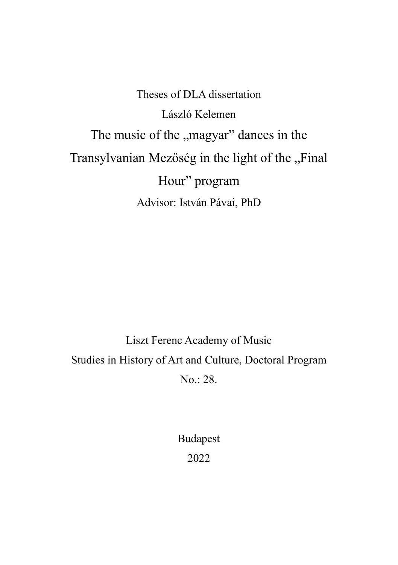Theses of DLA dissertation László Kelemen The music of the "magyar" dances in the Transylvanian Mezőség in the light of the "Final Hour" program Advisor: István Pávai, PhD

Liszt Ferenc Academy of Music Studies in History of Art and Culture, Doctoral Program No.: 28.

> Budapest 2022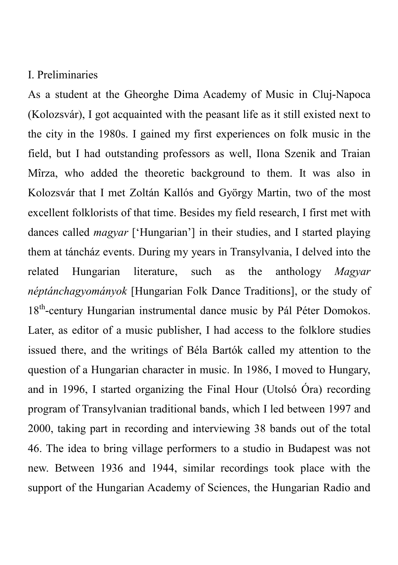## I. Preliminaries

As a student at the Gheorghe Dima Academy of Music in Cluj-Napoca (Kolozsvár), I got acquainted with the peasant life as it still existed next to the city in the 1980s. I gained my first experiences on folk music in the field, but I had outstanding professors as well, Ilona Szenik and Traian Mîrza, who added the theoretic background to them. It was also in Kolozsvár that I met Zoltán Kallós and György Martin, two of the most excellent folklorists of that time. Besides my field research, I first met with dances called *magyar* ['Hungarian'] in their studies, and I started playing them at táncház events. During my years in Transylvania, I delved into the related Hungarian literature, such as the anthology *Magyar néptánchagyományok* [Hungarian Folk Dance Traditions], or the study of 18<sup>th</sup>-century Hungarian instrumental dance music by Pál Péter Domokos. Later, as editor of a music publisher, I had access to the folklore studies issued there, and the writings of Béla Bartók called my attention to the question of a Hungarian character in music. In 1986, I moved to Hungary, and in 1996, I started organizing the Final Hour (Utolsó Óra) recording program of Transylvanian traditional bands, which I led between 1997 and 2000, taking part in recording and interviewing 38 bands out of the total 46. The idea to bring village performers to a studio in Budapest was not new. Between 1936 and 1944, similar recordings took place with the support of the Hungarian Academy of Sciences, the Hungarian Radio and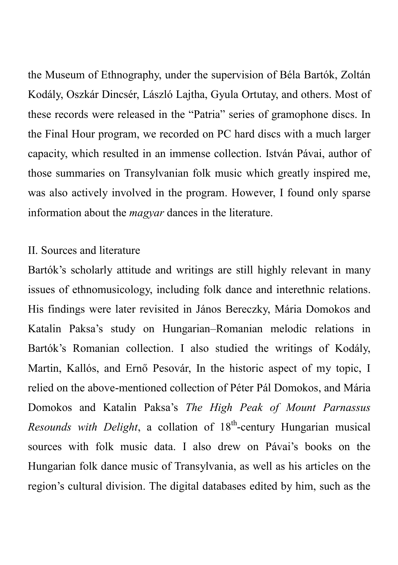the Museum of Ethnography, under the supervision of Béla Bartók, Zoltán Kodály, Oszkár Dincsér, László Lajtha, Gyula Ortutay, and others. Most of these records were released in the "Patria" series of gramophone discs. In the Final Hour program, we recorded on PC hard discs with a much larger capacity, which resulted in an immense collection. István Pávai, author of those summaries on Transylvanian folk music which greatly inspired me, was also actively involved in the program. However, I found only sparse information about the *magyar* dances in the literature.

### II. Sources and literature

Bartók's scholarly attitude and writings are still highly relevant in many issues of ethnomusicology, including folk dance and interethnic relations. His findings were later revisited in János Bereczky, Mária Domokos and Katalin Paksa's study on Hungarian–Romanian melodic relations in Bartók's Romanian collection. I also studied the writings of Kodály, Martin, Kallós, and Ernő Pesovár, In the historic aspect of my topic, I relied on the above-mentioned collection of Péter Pál Domokos, and Mária Domokos and Katalin Paksa's *The High Peak of Mount Parnassus*  Resounds with Delight, a collation of 18<sup>th</sup>-century Hungarian musical sources with folk music data. I also drew on Pávai's books on the Hungarian folk dance music of Transylvania, as well as his articles on the region's cultural division. The digital databases edited by him, such as the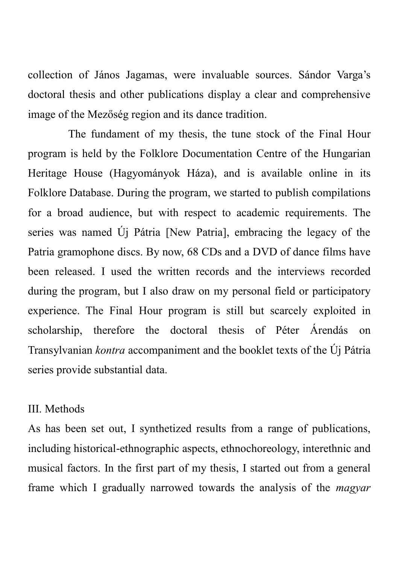collection of János Jagamas, were invaluable sources. Sándor Varga's doctoral thesis and other publications display a clear and comprehensive image of the Mezőség region and its dance tradition.

The fundament of my thesis, the tune stock of the Final Hour program is held by the Folklore Documentation Centre of the Hungarian Heritage House (Hagyományok Háza), and is available online in its Folklore Database. During the program, we started to publish compilations for a broad audience, but with respect to academic requirements. The series was named Új Pátria [New Patria], embracing the legacy of the Patria gramophone discs. By now, 68 CDs and a DVD of dance films have been released. I used the written records and the interviews recorded during the program, but I also draw on my personal field or participatory experience. The Final Hour program is still but scarcely exploited in scholarship, therefore the doctoral thesis of Péter Árendás on Transylvanian *kontra* accompaniment and the booklet texts of the Új Pátria series provide substantial data.

#### III. Methods

As has been set out, I synthetized results from a range of publications, including historical-ethnographic aspects, ethnochoreology, interethnic and musical factors. In the first part of my thesis, I started out from a general frame which I gradually narrowed towards the analysis of the *magyar*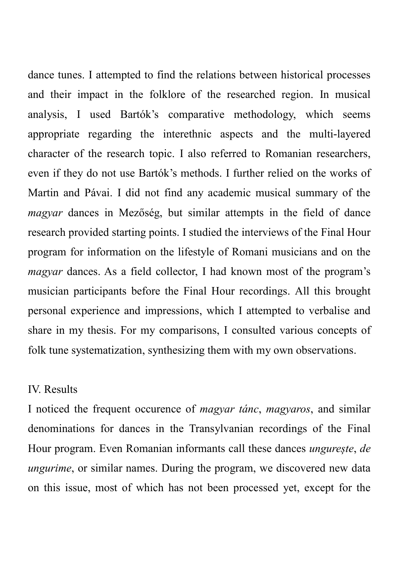dance tunes. I attempted to find the relations between historical processes and their impact in the folklore of the researched region. In musical analysis, I used Bartók's comparative methodology, which seems appropriate regarding the interethnic aspects and the multi-layered character of the research topic. I also referred to Romanian researchers, even if they do not use Bartók's methods. I further relied on the works of Martin and Pávai. I did not find any academic musical summary of the *magyar* dances in Mezőség, but similar attempts in the field of dance research provided starting points. I studied the interviews of the Final Hour program for information on the lifestyle of Romani musicians and on the *magyar* dances. As a field collector, I had known most of the program's musician participants before the Final Hour recordings. All this brought personal experience and impressions, which I attempted to verbalise and share in my thesis. For my comparisons, I consulted various concepts of folk tune systematization, synthesizing them with my own observations.

#### IV. Results

I noticed the frequent occurence of *magyar tánc*, *magyaros*, and similar denominations for dances in the Transylvanian recordings of the Final Hour program. Even Romanian informants call these dances *ungurește*, *de ungurime*, or similar names. During the program, we discovered new data on this issue, most of which has not been processed yet, except for the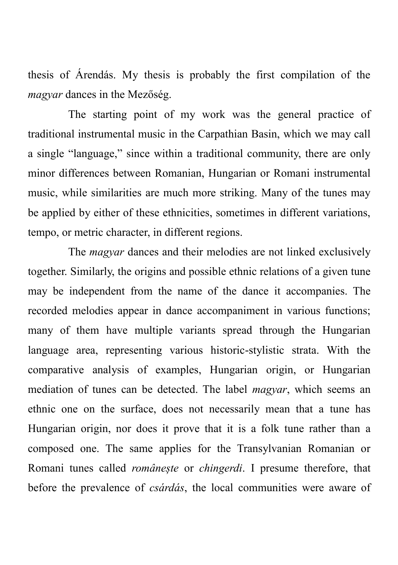thesis of Árendás. My thesis is probably the first compilation of the *magyar* dances in the Mezőség.

The starting point of my work was the general practice of traditional instrumental music in the Carpathian Basin, which we may call a single "language," since within a traditional community, there are only minor differences between Romanian, Hungarian or Romani instrumental music, while similarities are much more striking. Many of the tunes may be applied by either of these ethnicities, sometimes in different variations, tempo, or metric character, in different regions.

The *magyar* dances and their melodies are not linked exclusively together. Similarly, the origins and possible ethnic relations of a given tune may be independent from the name of the dance it accompanies. The recorded melodies appear in dance accompaniment in various functions; many of them have multiple variants spread through the Hungarian language area, representing various historic-stylistic strata. With the comparative analysis of examples, Hungarian origin, or Hungarian mediation of tunes can be detected. The label *magyar*, which seems an ethnic one on the surface, does not necessarily mean that a tune has Hungarian origin, nor does it prove that it is a folk tune rather than a composed one. The same applies for the Transylvanian Romanian or Romani tunes called *românește* or *chingerdi*. I presume therefore, that before the prevalence of *csárdás*, the local communities were aware of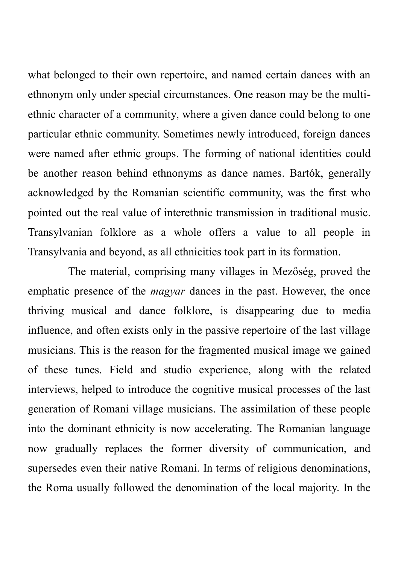what belonged to their own repertoire, and named certain dances with an ethnonym only under special circumstances. One reason may be the multiethnic character of a community, where a given dance could belong to one particular ethnic community. Sometimes newly introduced, foreign dances were named after ethnic groups. The forming of national identities could be another reason behind ethnonyms as dance names. Bartók, generally acknowledged by the Romanian scientific community, was the first who pointed out the real value of interethnic transmission in traditional music. Transylvanian folklore as a whole offers a value to all people in Transylvania and beyond, as all ethnicities took part in its formation.

The material, comprising many villages in Mezőség, proved the emphatic presence of the *magyar* dances in the past. However, the once thriving musical and dance folklore, is disappearing due to media influence, and often exists only in the passive repertoire of the last village musicians. This is the reason for the fragmented musical image we gained of these tunes. Field and studio experience, along with the related interviews, helped to introduce the cognitive musical processes of the last generation of Romani village musicians. The assimilation of these people into the dominant ethnicity is now accelerating. The Romanian language now gradually replaces the former diversity of communication, and supersedes even their native Romani. In terms of religious denominations, the Roma usually followed the denomination of the local majority. In the